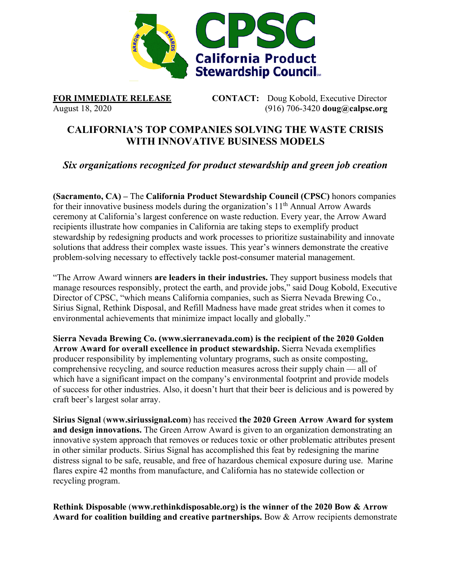

**FOR IMMEDIATE RELEASE CONTACT:** Doug Kobold, Executive Director August 18, 2020 (916) 706-3420 **[doug@calpsc.org](mailto:doug@calpsc.org)**

## **CALIFORNIA'S TOP COMPANIES SOLVING THE WASTE CRISIS WITH INNOVATIVE BUSINESS MODELS**

*Six organizations recognized for product stewardship and green job creation*

**(Sacramento, CA) –** The **[California Product Stewardship Council](http://www.calpsc.org/) (CPSC)** honors companies for their innovative business models during the organization's 11<sup>th</sup> Annual Arrow Awards ceremony at California's largest [conference on waste reduction.](https://www.crra.com/conference) Every year, the Arrow Award recipients illustrate how companies in California are taking steps to exemplify product stewardship by redesigning products and work processes to prioritize sustainability and innovate solutions that address their complex waste issues. This year's winners demonstrate the creative problem-solving necessary to effectively tackle post-consumer material management.

"The Arrow Award winners **are leaders in their industries.** They support business models that manage resources responsibly, protect the earth, and provide jobs," said Doug Kobold, Executive Director of CPSC, "which means California companies, such as Sierra Nevada Brewing Co., Sirius Signal, Rethink Disposal, and Refill Madness have made great strides when it comes to environmental achievements that minimize impact locally and globally."

**Sierra Nevada Brewing Co. [\(www.sierranevada.com\)](http://www.sierranevada.com/) is the recipient of the 2020 Golden Arrow Award for overall excellence in product stewardship.** Sierra Nevada exemplifies producer responsibility by implementing voluntary programs, such as onsite composting, comprehensive recycling, and source reduction measures across their supply chain — all of which have a significant impact on the company's environmental footprint and provide models of success for other industries. Also, it doesn't hurt that their beer is delicious and is powered by craft beer's largest solar array.

**Sirius Signal** (**[www.siriussignal.com](file://cpsc01/CALPSC/Administration/Awards/Arrow%20and%20Other%20Awards%20CPSC%20Gives/Arrow%20Awards/2020%20Arrow%20Awards/www.siriussignal.com)**) has received **the 2020 Green Arrow Award for system and design innovations.** The Green Arrow Award is given to an organization demonstrating an innovative system approach that removes or reduces toxic or other problematic attributes present in other similar products. Sirius Signal has accomplished this feat by redesigning the marine distress signal to be safe, reusable, and free of hazardous chemical exposure during use. Marine flares expire 42 months from manufacture, and California has no statewide collection or recycling program.

**Rethink Disposable** (**[www.rethinkdisposable.org\)](http://www.rethinkdisposable.org/) is the winner of the 2020 Bow & Arrow Award for coalition building and creative partnerships.** Bow & Arrow recipients demonstrate